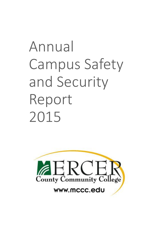# Annual Campus Safety and Security Report 2015

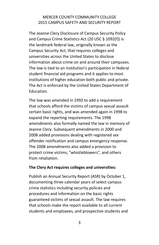The Jeanne Clery Disclosure of Campus Security Policy and Campus Crime Statistics Act (20 USC § 1092(f)) is the landmark federal law, originally known as the Campus Security Act, that requires colleges and universities across the United States to disclose information about crime on and around their campuses. The law is tied to an institution's participation in federal student financial aid programs and it applies to most institutions of higher education both public and private. The Act is enforced by the United States Department of Education.

The law was amended in 1992 to add a requirement that schools afford the victims of campus sexual assault certain basic rights, and was amended again in 1998 to expand the reporting requirements. The 1998 amendments also formally named the law in memory of Jeanne Clery. Subsequent amendments in 2000 and 2008 added provisions dealing with registered sex offender notification and campus emergency response. The 2008 amendments also added a provision to protect crime victims, "whistleblowers", and others from retaliation.

#### **The Clery Act requires colleges and universities:**

Publish an Annual Security Report (ASR) by October 1, documenting three calendar years of select campus crime statistics including security policies and procedures and information on the basic rights guaranteed victims of sexual assault. The law requires that schools make the report available to all current students and employees, and prospective students and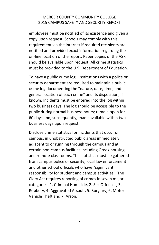employees must be notified of its existence and given a copy upon request. Schools may comply with this requirement via the internet if required recipients are notified and provided exact information regarding the on‐line location of the report. Paper copies of the ASR should be available upon request. All crime statistics must be provided to the U.S. Department of Education.

To have a public crime log. Institutions with a police or security department are required to maintain a public crime log documenting the "nature, date, time, and general location of each crime" and its disposition, if known. Incidents must be entered into the log within two business days. The log should be accessible to the public during normal business hours; remain open for 60 days and, subsequently, made available within two business days upon request.

Disclose crime statistics for incidents that occur on campus, in unobstructed public areas immediately adjacent to or running through the campus and at certain non‐campus facilities including Greek housing and remote classrooms. The statistics must be gathered from campus police or security, local law enforcement and other school officials who have "significant responsibility for student and campus activities." The Clery Act requires reporting of crimes in seven major categories: 1. Criminal Homicide, 2. Sex Offenses, 3. Robbery, 4. Aggravated Assault, 5. Burglary, 6. Motor Vehicle Theft and 7. Arson.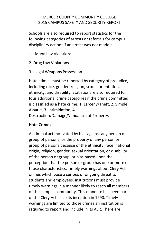Schools are also required to report statistics for the following categories of arrests or referrals for campus disciplinary action (if an arrest was not made):

- 1. Liquor Law Violations
- 2. Drug Law Violations
- 3. Illegal Weapons Possession

Hate crimes must be reported by category of prejudice, including race, gender, religion, sexual orientation, ethnicity, and disability. Statistics are also required for four additional crime categories if the crime committed is classified as a hate crime: 1. Larceny/Theft, 2. Simple Assault, 3. Intimidation, 4.

Destruction/Damage/Vandalism of Property.

#### **Hate Crimes**

A criminal act motivated by bias against any person or group of persons, or the property of any person or group of persons because of the ethnicity, race, national origin, religion, gender, sexual orientation, or disability of the person or group, or bias based upon the perception that the person or group has one or more of those characteristics. Timely warnings about Clery Act crimes which pose a serious or ongoing threat to students and employees. Institutions must provide timely warnings in a manner likely to reach all members of the campus community. This mandate has been part of the Clery Act since its inception in 1990. Timely warnings are limited to those crimes an institution is required to report and include in its ASR. There are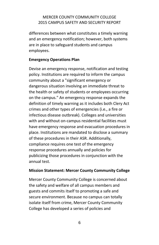differences between what constitutes a timely warning and an emergency notification; however, both systems are in place to safeguard students and campus employees.

### **Emergency Operations Plan**

Devise an emergency response, notification and testing policy. Institutions are required to inform the campus community about a "significant emergency or dangerous situation involving an immediate threat to the health or safety of students or employees occurring on the campus." An emergency response expands the definition of timely warning as it includes both Clery Act crimes and other types of emergencies (i.e., a fire or infectious disease outbreak). Colleges and universities with and without on-campus residential facilities must have emergency response and evacuation procedures in place. Institutions are mandated to disclose a summary of these procedures in their ASR. Additionally, compliance requires one test of the emergency response procedures annually and policies for publicizing those procedures in conjunction with the annual test.

#### **Mission Statement: Mercer County Community College**

Mercer County Community College is concerned about the safety and welfare of all campus members and guests and commits itself to promoting a safe and secure environment. Because no campus can totally isolate itself from crime, Mercer County Community College has developed a series of policies and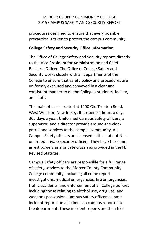procedures designed to ensure that every possible precaution is taken to protect the campus community.

#### **College Safety and Security Office Information**

The Office of College Safety and Security reports directly to the Vice President for Administration and Chief Business Officer. The Office of College Safety and Security works closely with all departments of the College to ensure that safety policy and procedures are uniformly executed and conveyed in a clear and consistent manner to all the College's students, faculty, and staff.

The main office is located at 1200 Old Trenton Road, West Windsor, New Jersey. It is open 24 hours a day, 365 days a year. Uniformed Campus Safety officers, a supervisor, and a director provide around‐the‐clock patrol and services to the campus community. All Campus Safety officers are licensed in the state of NJ as unarmed private security officers. They have the same arrest powers as a private citizen as provided in the NJ Revised Statutes.

Campus Safety officers are responsible for a full range of safety services to the Mercer County Community College community, including all crime report investigations, medical emergencies, fire emergencies, traffic accidents, and enforcement of all College policies including those relating to alcohol use, drug use, and weapons possession. Campus Safety officers submit incident reports on all crimes on campus reported to the department. These incident reports are than filed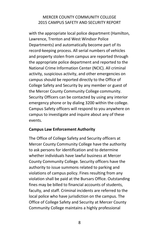with the appropriate local police department (Hamilton, Lawrence, Trenton and West Windsor Police Departments) and automatically become part of its record‐keeping process. All serial numbers of vehicles and property stolen from campus are reported through the appropriate police department and reported to the National Crime Information Center (NCIC). All criminal activity, suspicious activity, and other emergencies on campus should be reported directly to the Office of College Safety and Security by any member or guest of the Mercer County Community College community. Security Officers can be contacted by using any interior emergency phone or by dialing 3200 within the college. Campus Safety officers will respond to you anywhere on campus to investigate and inquire about any of these events.

#### **Campus Law Enforcement Authority**

The Office of College Safety and Security officers at Mercer County Community College have the authority to ask persons for identification and to determine whether individuals have lawful business at Mercer County Community College. Security officers have the authority to issue summons related to parking and violations of campus policy. Fines resulting from any violation shall be paid at the Bursars Office. Outstanding fines may be billed to financial accounts of students, faculty, and staff. Criminal incidents are referred to the local police who have jurisdiction on the campus. The Office of College Safety and Security at Mercer County Community College maintains a highly professional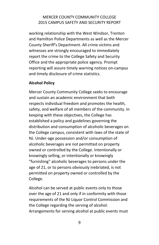working relationship with the West Windsor, Trenton and Hamilton Police Departments as well as the Mercer County Sheriff's Department. All crime victims and witnesses are strongly encouraged to immediately report the crime to the College Safety and Security Office and the appropriate police agency. Prompt reporting will assure timely warning notices on‐campus and timely disclosure of crime statistics.

#### **Alcohol Policy**

Mercer County Community College seeks to encourage and sustain an academic environment that both respects individual freedom and promotes the health, safety, and welfare of all members of the community. In keeping with these objectives, the College has established a policy and guidelines governing the distribution and consumption of alcoholic beverages on the College campus, consistent with laws of the state of NJ. Under‐age possession and/or consumption of alcoholic beverages are not permitted on property owned or controlled by the College. Intentionally or knowingly selling, or intentionally or knowingly "furnishing" alcoholic beverages to persons under the age of 21, or to persons obviously inebriated, is not permitted on property owned or controlled by the College.

Alcohol can be served at public events only to those over the age of 21 and only if in conformity with those requirements of the NJ Liquor Control Commission and the College regarding the serving of alcohol. Arrangements for serving alcohol at public events must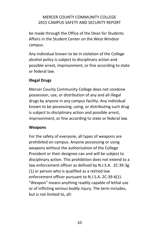be made through the Office of the Dean for Students Affairs in the Student Center on the West Windsor campus.

Any individual known to be in violation of the College alcohol policy is subject to disciplinary action and possible arrest, imprisonment, or fine according to state or federal law.

## **Illegal Drugs**

Mercer County Community College does not condone possession, use, or distribution of any and all illegal drugs by anyone in any campus facility. Any individual known to be possessing, using, or distributing such drug is subject to disciplinary action and possible arrest, imprisonment, or fine according to state or federal law.

### **Weapons**

For the safety of everyone, all types of weapons are prohibited on campus. Anyone possessing or using weapons without the authorization of the College President or their designee can and will be subject to disciplinary action. This prohibition does not extend to a law enforcement officer as defined by N.J.S.A. 2C:39-3g (1) or person who is qualified as a retired law enforcement officer pursuant to N.J.S.A. 2C:39-6(1). "Weapon" means anything readily capable of lethal use or of inflicting serious bodily injury. The term includes, but is not limited to, all: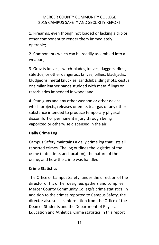1. Firearms, even though not loaded or lacking a clip or other component to render them immediately operable;

2. Components which can be readily assembled into a weapon;

3. Gravity knives, switch‐blades, knives, daggers, dirks, stilettos, or other dangerous knives, billies, blackjacks, bludgeons, metal knuckles, sandclubs, slingshots, cestus or similar leather bands studded with metal filings or razorblades imbedded in wood; and

4. Stun guns and any other weapon or other device which projects, releases or emits tear gas or any other substance intended to produce temporary physical discomfort or permanent injury through being vaporized or otherwise dispensed in the air.

## **Daily Crime Log**

Campus Safety maintains a daily crime log that lists all reported crimes. The log outlines the logistics of the crime (date, time, and location), the nature of the crime, and how the crime was handled.

### **Crime Statistics**

The Office of Campus Safety, under the direction of the director or his or her designee, gathers and compiles Mercer County Community College's crime statistics. In addition to the crimes reported to Campus Safety, the director also solicits information from the Office of the Dean of Students and the Department of Physical Education and Athletics. Crime statistics in this report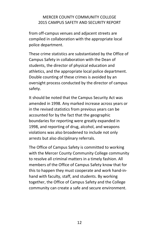from off‐campus venues and adjacent streets are compiled in collaboration with the appropriate local police department.

These crime statistics are substantiated by the Office of Campus Safety in collaboration with the Dean of students, the director of physical education and athletics, and the appropriate local police department. Double counting of these crimes is avoided by an oversight process conducted by the director of campus safety.

It should be noted that the Campus Security Act was amended in 1998. Any marked increase across years or in the revised statistics from previous years can be accounted for by the fact that the geographic boundaries for reporting were greatly expanded in 1998, and reporting of drug, alcohol, and weapons violations was also broadened to include not only arrests but also disciplinary referrals.

The Office of Campus Safety is committed to working with the Mercer County Community College community to resolve all criminal matters in a timely fashion. All members of the Office of Campus Safety know that for this to happen they must cooperate and work hand‐in‐ hand with faculty, staff, and students. By working together, the Office of Campus Safety and the College community can create a safe and secure environment.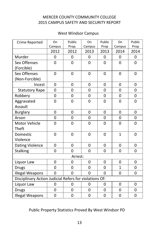## West Windsor Campus

| Crime Reported                                         | On             | Public         | On             | Public         | On             | Public      |  |  |  |
|--------------------------------------------------------|----------------|----------------|----------------|----------------|----------------|-------------|--|--|--|
|                                                        | Campus         | Prop.          | Campus         | Prop           | Campus         | Prop        |  |  |  |
|                                                        | 2012           | 2012           | 2013           | 2013           | 2014           | 2014        |  |  |  |
| Murder                                                 | 0              | 0              | 0              | 0              | $\mathbf{0}$   | 0           |  |  |  |
| Sex Offenses                                           | 0              | 0              | 0              | 0              | 0              | 0           |  |  |  |
| (Forcible)                                             |                |                |                |                |                |             |  |  |  |
| Sex Offenses                                           | $\overline{0}$ | $\overline{0}$ | $\overline{0}$ | 0              | $\overline{0}$ | 0           |  |  |  |
| (Non-Forcible)                                         |                |                |                |                |                |             |  |  |  |
| Incest                                                 | 0              | 0              | 0              | 0              | $\mathbf 0$    | 0           |  |  |  |
| <b>Statutory Rape</b>                                  | 0              | 0              | 0              | 0              | $\mathbf 0$    | $\mathbf 0$ |  |  |  |
| Robbery                                                | 0              | 0              | 0              | $\overline{0}$ | $\overline{0}$ | $\mathbf 0$ |  |  |  |
| Aggravated                                             | 0              | 0              | 0              | 0              | $\mathbf 0$    | $\mathbf 0$ |  |  |  |
| Assault                                                |                |                |                |                |                |             |  |  |  |
| <b>Burglary</b>                                        | 0              | 0              | 0              | 0              | 0              | 0           |  |  |  |
| Arson                                                  | $\overline{0}$ | $\overline{0}$ | 0              | 0              | 0              | 0           |  |  |  |
| <b>Motor Vehicle</b>                                   | $\overline{0}$ | $\overline{0}$ | $\overline{0}$ | $\overline{0}$ | $\overline{0}$ | 0           |  |  |  |
| Theft                                                  |                |                |                |                |                |             |  |  |  |
| Domestic                                               | 0              | 0              | 0              | 0              | $\mathbf{1}$   | 0           |  |  |  |
| Violence                                               |                |                |                |                |                |             |  |  |  |
| <b>Dating Violence</b>                                 | 0              | 0              | 0              | 0              | 0              | 0           |  |  |  |
| <b>Stalking</b>                                        | 0              | 0              | $\overline{0}$ | 0              | 0              | 0           |  |  |  |
| Arrest:                                                |                |                |                |                |                |             |  |  |  |
| Liquor Law                                             | 0              | 0              | 0              | 0              | 0              | 0           |  |  |  |
| <b>Drugs</b>                                           | $\overline{0}$ | $\overline{0}$ | $\overline{0}$ | $\overline{0}$ | $\overline{1}$ | $\mathbf 0$ |  |  |  |
| <b>Illegal Weapons</b>                                 | $\overline{0}$ | $\overline{0}$ | 0              | $\Omega$       | 0              | 0           |  |  |  |
| Disciplinary Action Judicial Refers for violations Of: |                |                |                |                |                |             |  |  |  |
| Liquor Law                                             | 0              | 0              | 0              | 0              | 0              | 0           |  |  |  |
| <b>Drugs</b>                                           | 0              | 0              | 0              | $\overline{0}$ | $\mathbf 0$    | 0           |  |  |  |
| <b>Illegal Weapons</b>                                 | $\overline{0}$ | 0              | 0              | 0              | $\mathbf 0$    | $\mathbf 0$ |  |  |  |

## Public Property Statistics Proved By West Windsor PD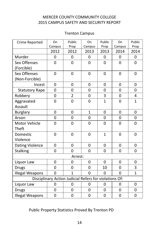## Trenton Campus

| Crime Reported                                         | On             | Public         | On             | Public         | On             | Public         |  |  |  |
|--------------------------------------------------------|----------------|----------------|----------------|----------------|----------------|----------------|--|--|--|
|                                                        | Campus         | Prop           | Campus         | Prop           | Campus         | Prop           |  |  |  |
|                                                        | 2012           | 2012           | 2013           | 2013           | 2014           | 2014           |  |  |  |
| Murder                                                 | 0              | 0              | 0              | 0              | $\mathbf 0$    | 0              |  |  |  |
| Sex Offenses                                           | 0              | 0              | 0              | 0              | 0              | 0              |  |  |  |
| (Forcible)                                             |                |                |                |                |                |                |  |  |  |
| Sex Offenses                                           | $\overline{0}$ | 0              | 0              | 0              | $\mathbf 0$    | $\mathbf 0$    |  |  |  |
| (Non-Forcible)                                         |                |                |                |                |                |                |  |  |  |
| Incest                                                 | 0              | 0              | 0              | 0              | $\mathbf 0$    | 0              |  |  |  |
| <b>Statutory Rape</b>                                  | 0              | 0              | 0              | 0              | 0              | $\mathbf 0$    |  |  |  |
| Robbery                                                | 0              | $\overline{2}$ | $\overline{0}$ | 3              | $\overline{0}$ | 4              |  |  |  |
| Aggravated                                             | $\overline{0}$ | $\overline{0}$ | $\overline{0}$ | $\overline{1}$ | $\mathbf 0$    | $\overline{1}$ |  |  |  |
| Assault                                                |                |                |                |                |                |                |  |  |  |
| <b>Burglary</b>                                        | 0              | 0              | $\overline{1}$ | 0              | 0              | 0              |  |  |  |
| Arson                                                  | $\overline{0}$ | $\overline{0}$ | $\overline{0}$ | $\overline{0}$ | $\overline{0}$ | $\mathbf 0$    |  |  |  |
| Motor Vehicle                                          | 0              | 0              | 0              | 0              | $\overline{0}$ | $\mathbf 0$    |  |  |  |
| Theft                                                  |                |                |                |                |                |                |  |  |  |
| Domestic                                               | 0              | 0              | 0              | $\mathbf{1}$   | 0              | 0              |  |  |  |
| Violence                                               |                |                |                |                |                |                |  |  |  |
| <b>Dating Violence</b>                                 | 0              | 0              | 0              | 0              | 0              | 0              |  |  |  |
| Stalking                                               | 0              | 0              | $\overline{0}$ | $\overline{0}$ | $\overline{0}$ | $\mathbf 0$    |  |  |  |
| Arrest:                                                |                |                |                |                |                |                |  |  |  |
| Liquor Law                                             | 0              | 0              | 0              | 0              | 0              | 0              |  |  |  |
| <b>Drugs</b>                                           | $\overline{0}$ | $\overline{0}$ | $\overline{0}$ | 10             | $\overline{0}$ | 3              |  |  |  |
| <b>Illegal Weapons</b>                                 | $\overline{0}$ | $\overline{1}$ | 0              | 0              | $\overline{0}$ | $\overline{1}$ |  |  |  |
| Disciplinary Action Judicial Refers for violations Of: |                |                |                |                |                |                |  |  |  |
| Liquor Law                                             | 0              | 0              | 0              | 0              | 0              | 0              |  |  |  |
| <b>Drugs</b>                                           | $\overline{0}$ | $\overline{0}$ | $\overline{0}$ | $\overline{0}$ | $\overline{0}$ | $\mathbf 0$    |  |  |  |
| <b>Illegal Weapons</b>                                 | 0              | 0              | 0              | 0              | 0              | 0              |  |  |  |

# Public Property Statistics Proved By Trenton PD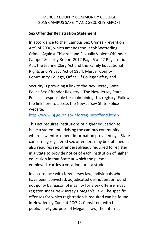## **Sex Offender Registration Statement**

In accordance to the "Campus Sex Crimes Prevention Act" of 2000, which amends the Jacob Wetterling Crimes Against Children and Sexually Violent Offender Campus Security Report 2012 Page 6 of 22 Registration Act, the Jeanne Clery Act and the Family Educational Rights and Privacy Act of 1974, Mercer County Community College, Office Of College Safety and

Security is providing a link to the New Jersey State Police Sex Offender Registry. The New Jersey State Police is responsible for maintaining this registry. Follow the link here to access the New Jersey State Police website.

## [http://www.nj.gov/njsp/info/reg\\_sexoffend.html>](http://www.nj.gov/njsp/info/reg_sexoffend.html)

This act requires institutions of higher education to issue a statement advising the campus community where law enforcement information provided by a State concerning registered sex offenders may be obtained. It also requires sex offenders already required to register in a State to provide notice of each institution of higher education in that State at which the person is employed, carries a vocation, or is a student.

In accordance with New Jersey law, individuals who have been convicted, adjudicated delinquent or found not guilty by reason of insanity for a sex offense must register under New Jersey's Megan's Law. The specific offenses for which registration is required can be found in New Jersey Code at 2C:7‐2. Consistent with this public safety purpose of Megan's Law, the Internet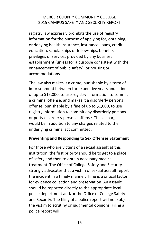registry law expressly prohibits the use of registry information for the purpose of applying for, obtaining, or denying health insurance, insurance, loans, credit, education, scholarships or fellowships, benefits privileges or services provided by any business establishment (unless for a purpose consistent with the enhancement of public safety), or housing or accommodations.

The law also makes it a crime, punishable by a term of imprisonment between three and five years and a fine of up to \$15,000, to use registry information to commit a criminal offense, and makes it a disorderly persons offense, punishable by a fine of up to \$1,000, to use registry information to commit any disorderly persons or petty disorderly persons offense. These charges would be in addition to any charges related to the underlying criminal act committed.

#### **Preventing and Responding to Sex Offenses Statement**

For those who are victims of a sexual assault at this institution, the first priority should be to get to a place of safety and then to obtain necessary medical treatment. The Office of College Safety and Security strongly advocates that a victim of sexual assault report the incident in a timely manner. Time is a critical factor for evidence collection and preservation. An assault should be reported directly to the appropriate local police department and/or the Office of College Safety and Security. The filing of a police report will not subject the victim to scrutiny or judgmental opinions. Filing a police report will: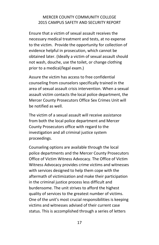Ensure that a victim of sexual assault receives the necessary medical treatment and tests, at no expense to the victim. Provide the opportunity for collection of evidence helpful in prosecution, which cannot be obtained later. (Ideally a victim of sexual assault should not wash, douche, use the toilet, or change clothing prior to a medical/legal exam.)

Assure the victim has access to free confidential counseling from counselors specifically trained in the area of sexual assault crisis intervention. When a sexual assault victim contacts the local police department, the Mercer County Prosecutors Office Sex Crimes Unit will be notified as well.

The victim of a sexual assault will receive assistance from both the local police department and Mercer County Prosecutors office with regard to the investigation and all criminal justice system proceedings.

Counseling options are available through the local police departments and the Mercer County Prosecutors Office of Victim Witness Advocacy. The Office of Victim Witness Advocacy provides crime victims and witnesses with services designed to help them cope with the aftermath of victimization and make their participation in the criminal justice process less difficult and burdensome. The unit strives to afford the highest quality of services to the greatest number of victims. One of the unit's most crucial responsibilities is keeping victims and witnesses advised of their current case status. This is accomplished through a series of letters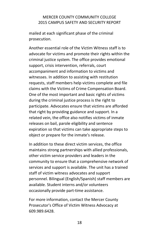mailed at each significant phase of the criminal prosecution.

Another essential role of the Victim Witness staff is to advocate for victims and promote their rights within the criminal justice system. The office provides emotional support, crisis intervention, referrals, court accompaniment and information to victims and witnesses. In addition to assisting with restitution requests, staff members help victims complete and file claims with the Victims of Crime Compensation Board. One of the most important and basic rights of victims during the criminal justice process is the right to participate. Advocates ensure that victims are afforded that right by providing guidance and support. In a related vein, the office also notifies victims of inmate releases on bail, parole eligibility and sentence expiration so that victims can take appropriate steps to object or prepare for the inmate's release.

In addition to these direct victim services, the office maintains strong partnerships with allied professionals, other victim service providers and leaders in the community to ensure that a comprehensive network of services and support is available. The unit has a trained staff of victim witness advocates and support personnel. Bilingual (English/Spanish) staff members are available. Student interns and/or volunteers occasionally provide part‐time assistance.

For more information, contact the Mercer County Prosecutor's Office of Victim Witness Advocacy at 609.989.6428.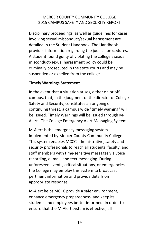Disciplinary proceedings, as well as guidelines for cases involving sexual misconduct/sexual harassment are detailed in the Student Handbook. The Handbook provides information regarding the judicial procedures. A student found guilty of violating the college's sexual misconduct/sexual harassment policy could be criminally prosecuted in the state courts and may be suspended or expelled from the college.

#### **Timely Warnings Statement**

In the event that a situation arises, either on or off campus, that, in the judgment of the director of College Safety and Security, constitutes an ongoing or continuing threat, a campus wide "timely warning" will be issued. Timely Warnings will be issued through M‐ Alert ‐ The College Emergency Alert Messaging System.

M‐Alert is the emergency messaging system implemented by Mercer County Community College. This system enables MCCC administrative, safety and security professionals to reach all students, faculty, and staff members with time‐sensitive messages via voice recording, e‐ mail, and text messaging. During unforeseen events, critical situations, or emergencies, the College may employ this system to broadcast pertinent information and provide details on appropriate response.

M‐Alert helps MCCC provide a safer environment, enhance emergency preparedness, and keep its students and employees better informed. In order to ensure that the M‐Alert system is effective, all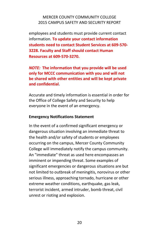employees and students must provide current contact information. **To update your contact information students need to contact Student Services at 609-570- 3228. Faculty and Staff should contact Human Resources at 609-570-3270.**

*NOTE:* **The information that you provide will be used only for MCCC communication with you and will not be shared with other entities and will be kept private and confidential.**

Accurate and timely information is essential in order for the Office of College Safety and Security to help everyone in the event of an emergency.

#### **Emergency Notifications Statement**

In the event of a confirmed significant emergency or dangerous situation involving an immediate threat to the health and/or safety of students or employees occurring on the campus, Mercer County Community College will immediately notify the campus community. An "immediate" threat as used here encompasses an imminent or impending threat. Some examples of significant emergencies or dangerous situations are but not limited to outbreak of meningitis, norovirus or other serious illness, approaching tornado, hurricane or other extreme weather conditions, earthquake, gas leak, terrorist incident, armed intruder, bomb threat, civil unrest or rioting and explosion.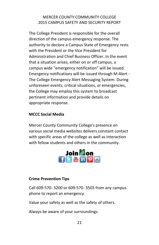The College President is responsible for the overall direction of the campus emergency response. The authority to declare a Campus State of Emergency rests with the President or the Vice President for Administration and Chief Business Officer. In the event that a situation arises, either on or off campus, a campus wide "emergency notification" will be issued. Emergency notifications will be issued through M‐Alert ‐ The College Emergency Alert Messaging System. During unforeseen events, critical situations, or emergencies, the College may employ this system to broadcast pertinent information and provide details on appropriate response.

## **MCCC Social Media**

Mercer County Community College's presence on various social media websites delivers constant contact with specific areas of the college as well as interaction with fellow students and others in the community.



### **Crime Prevention Tips**

Call 609-570- 3200 or 609-570- 3503 from any campus phone to report an emergency.

Value your safety as well as the safety of others.

Always be aware of your surroundings.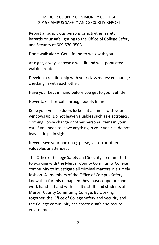Report all suspicious persons or activities, safety hazards or unsafe lighting to the Office of College Safety and Security at 609-570‐3503.

Don't walk alone. Get a friend to walk with you.

At night, always choose a well‐lit and well‐populated walking route.

Develop a relationship with your class mates; encourage checking in with each other.

Have your keys in hand before you get to your vehicle.

Never take shortcuts through poorly lit areas.

Keep your vehicle doors locked at all times with your windows up. Do not leave valuables such as electronics, clothing, loose change or other personal items in your car. If you need to leave anything in your vehicle, do not leave it in plain sight.

Never leave your book bag, purse, laptop or other valuables unattended.

The Office of College Safety and Security is committed to working with the Mercer County Community College community to investigate all criminal matters in a timely fashion. All members of the Office of Campus Safety know that for this to happen they must cooperate and work hand-in-hand with faculty, staff, and students of Mercer County Community College. By working together, the Office of College Safety and Security and the College community can create a safe and secure environment.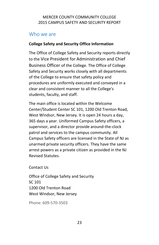# Who we are

## **College Safety and Security Office Information**

The Office of College Safety and Security reports directly to the Vice President for Administration and Chief Business Officer of the College. The Office of College Safety and Security works closely with all departments of the College to ensure that safety policy and procedures are uniformly executed and conveyed in a clear and consistent manner to all the College's students, faculty, and staff.

The main office is located within the Welcome Center/Student Center SC 101, 1200 Old Trenton Road, West Windsor, New Jersey. It is open 24 hours a day, 365 days a year. Uniformed Campus Safety officers, a supervisor, and a director provide around-the-clock patrol and services to the campus community. All Campus Safety officers are licensed in the State of NJ as unarmed private security officers. They have the same arrest powers as a private citizen as provided in the NJ Revised Statutes.

Contact Us

Office of College Safety and Security SC 101 1200 Old Trenton Road West Windsor, New Jersey

Phone: 609-570-3503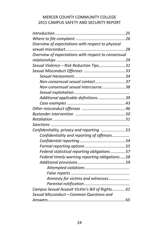| Overview of expectations with respect to physical   |  |
|-----------------------------------------------------|--|
|                                                     |  |
| Overview of expectations with respect to consensual |  |
|                                                     |  |
| Sexual Violence - Risk Reduction Tips31             |  |
|                                                     |  |
|                                                     |  |
| Non-consensual sexual contact37                     |  |
| Non-consensual sexual intercourse38                 |  |
|                                                     |  |
| Additional applicable definitions39                 |  |
|                                                     |  |
|                                                     |  |
|                                                     |  |
|                                                     |  |
|                                                     |  |
| Confidentiality, privacy and reporting 53           |  |
| Confidentiality and reporting of offenses           |  |
|                                                     |  |
|                                                     |  |
| Federal statistical reporting obligations  57       |  |
| Federal timely warning reporting obligations58      |  |
|                                                     |  |
|                                                     |  |
|                                                     |  |
| Amnesty for victims and witnesses                   |  |
|                                                     |  |
| Campus Sexual Assault Victim's Bill of Rights 61    |  |
| Sexual Misconduct-Common Questions and              |  |
|                                                     |  |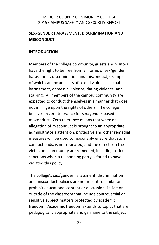## **SEX/GENDER HARASSMENT, DISCRIMINATION AND MISCONDUCT**

#### **INTRODUCTION**

Members of the college community, guests and visitors have the right to be free from all forms of sex/gender harassment, discrimination and misconduct, examples of which can include acts of sexual violence, sexual harassment, domestic violence, dating violence, and stalking. All members of the campus community are expected to conduct themselves in a manner that does not infringe upon the rights of others. The college believes in zero tolerance for sex/gender-based misconduct. Zero tolerance means that when an allegation of misconduct is brought to an appropriate administrator's attention, protective and other remedial measures will be used to reasonably ensure that such conduct ends, is not repeated, and the effects on the victim and community are remedied, including serious sanctions when a responding party is found to have violated this policy.

The college's sex/gender harassment, discrimination and misconduct policies are not meant to inhibit or prohibit educational content or discussions inside or outside of the classroom that include controversial or sensitive subject matters protected by academic freedom. Academic freedom extends to topics that are pedagogically appropriate and germane to the subject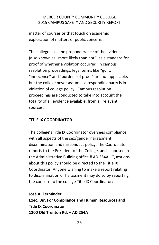matter of courses or that touch on academic exploration of matters of public concern.

The college uses the preponderance of the evidence (also known as "more likely than not") as a standard for proof of whether a violation occurred. In campus resolution proceedings, legal terms like "guilt, "innocence" and "burdens of proof" are not applicable, but the college never assumes a responding party is in violation of college policy. Campus resolution proceedings are conducted to take into account the totality of all evidence available, from all relevant sources.

## **TITLE IX COORDINATOR**

The college's Title IX Coordinator oversees compliance with all aspects of the sex/gender harassment, discrimination and misconduct policy. The Coordinator reports to the President of the College, and is housed in the Administrative Building office # AD 254A. Questions about this policy should be directed to the Title IX Coordinator. Anyone wishing to make a report relating to discrimination or harassment may do so by reporting the concern to the college Title IX Coordinator:

**José A. Fernández Exec. Dir. For Compliance and Human Resources and Title IX Coordinator 1200 Old Trenton Rd. – AD 254A**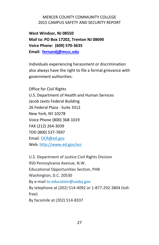**West Windsor, NJ 08550 Mail to: PO Box 17202, Trenton NJ 08690 Voice Phone: (609) 570-3635 Email: [fernandj@mccc.edu](mailto:fernandj@mccc.edu)**

Individuals experiencing harassment or discrimination also always have the right to file a formal grievance with government authorities:

Office for Civil Rights U.S. Department of Health and Human Services Jacob Javits Federal Building 26 Federal Plaza - Suite 3312 New York, NY 10278 Voice Phone (800) 368-1019 FAX (212) 264-3039 TDD (800) 537-7697 Email: [OCR@ed.gov](mailto:OCR@ed.gov) Web: [http://www.ed.gov/ocr](http://www2.ed.gov/about/offices/list/ocr/index.html)

U.S. Department of Justice Civil Rights Division 950 Pennsylvania Avenue, N.W. Educational Opportunities Section, PHB Washington, D.C. 20530 By e-mail to [education@usdoj.gov](mailto:education@usdoj.gov) By telephone at (202) 514-4092 or 1-877-292-3804 (tollfree) By facsimile at (202) 514-8337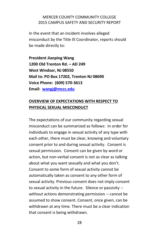In the event that an incident involves alleged misconduct by the Title IX Coordinator, reports should be made directly to:

**President Jianping Wang 1200 Old Trenton Rd. – AD 249 West Windsor, NJ 08550 Mail to: PO Box 17202, Trenton NJ 08690 Voice Phone: (609) 570-3613 Email: [wangj@mccc.edu](mailto:wangj@mccc.edu)**

# **OVERVIEW OF EXPECTATIONS WITH RESPECT TO PHYSICAL SEXUAL MISCONDUCT**

The expectations of our community regarding sexual misconduct can be summarized as follows: In order for individuals to engage in sexual activity of any type with each other, there must be clear, knowing and voluntary consent prior to and during sexual activity. Consent is sexual permission. Consent can be given by word or action, but non-verbal consent is not as clear as talking about what you want sexually and what you don't. Consent to some form of sexual activity cannot be automatically taken as consent to any other form of sexual activity. Previous consent does not imply consent to sexual activity in the future. Silence or passivity - without actions demonstrating permission -- cannot be assumed to show consent. Consent, once given, can be withdrawn at any time. There must be a clear indication that consent is being withdrawn.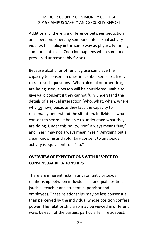Additionally, there is a difference between seduction and coercion. Coercing someone into sexual activity violates this policy in the same way as physically forcing someone into sex. Coercion happens when someone is pressured unreasonably for sex.

Because alcohol or other drug use can place the capacity to consent in question, sober sex is less likely to raise such questions. When alcohol or other drugs are being used, a person will be considered unable to give valid consent if they cannot fully understand the details of a sexual interaction (who, what, when, where, why, or how) because they lack the capacity to reasonably understand the situation. Individuals who consent to sex must be able to understand what they are doing. Under this policy, "No" always means "No," and "Yes" may not always mean "Yes." Anything but a clear, knowing and voluntary consent to any sexual activity is equivalent to a "no."

# **OVERVIEW OF EXPECTATIONS WITH RESPECT TO CONSENSUAL RELATIONSHIPS**

There are inherent risks in any romantic or sexual relationship between individuals in unequal positions (such as teacher and student, supervisor and employee). These relationships may be less consensual than perceived by the individual whose position confers power. The relationship also may be viewed in different ways by each of the parties, particularly in retrospect.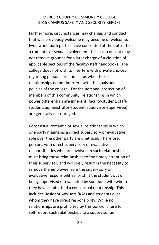Furthermore, circumstances may change, and conduct that was previously welcome may become unwelcome. Even when both parties have consented at the outset to a romantic or sexual involvement, this past consent may not remove grounds for a later charge of a violation of applicable sections of the faculty/staff handbooks. The college does not wish to interfere with private choices regarding personal relationships when these relationships do not interfere with the goals and policies of the college. For the personal protection of members of this community, relationships in which power differentials are inherent (faculty-student, staffstudent, administrator-student, supervisor-supervisee) are generally discouraged.

Consensual romantic or sexual relationships in which one party maintains a direct supervisory or evaluative role over the other party are unethical. Therefore, persons with direct supervisory or evaluative responsibilities who are involved in such relationships must bring those relationships to the timely attention of their supervisor, and will likely result in the necessity to remove the employee from the supervisory or evaluative responsibilities, or shift the student out of being supervised or evaluated by someone with whom they have established a consensual relationship. This includes Resident Advisors (RAs) and students over whom they have direct responsibility. While no relationships are prohibited by this policy, failure to self-report such relationships to a supervisor as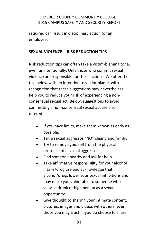required can result in disciplinary action for an employee.

## **SEXUAL VIOLENCE -- RISK REDUCTION TIPS**

Risk reduction tips can often take a victim-blaming tone, even unintentionally. Only those who commit sexual violence are responsible for those actions. We offer the tips below with no intention to victim-blame, with recognition that these suggestions may nevertheless help you to reduce your risk of experiencing a nonconsensual sexual act. Below, suggestions to avoid committing a non-consensual sexual act are also offered:

- If you have limits, make them known as early as possible.
- Tell a sexual aggressor "NO" clearly and firmly.
- Try to remove yourself from the physical presence of a sexual aggressor.
- Find someone nearby and ask for help.
- Take affirmative responsibility for your alcohol intake/drug use and acknowledge that alcohol/drugs lower your sexual inhibitions and may make you vulnerable to someone who views a drunk or high person as a sexual opportunity.
- Give thought to sharing your intimate content, pictures, images and videos with others, even those you may trust. If you do choose to share,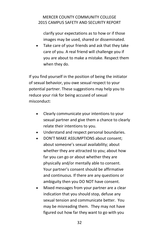clarify your expectations as to how or if those images may be used, shared or disseminated.

 Take care of your friends and ask that they take care of you. A real friend will challenge you if you are about to make a mistake. Respect them when they do.

If you find yourself in the position of being the initiator of sexual behavior, you owe sexual respect to your potential partner. These suggestions may help you to reduce your risk for being accused of sexual misconduct:

- Clearly communicate your intentions to your sexual partner and give them a chance to clearly relate their intentions to you.
- Understand and respect personal boundaries.
- DON'T MAKE ASSUMPTIONS about consent; about someone's sexual availability; about whether they are attracted to you; about how far you can go or about whether they are physically and/or mentally able to consent. Your partner's consent should be affirmative and continuous. If there are any questions or ambiguity then you DO NOT have consent.
- Mixed messages from your partner are a clear indication that you should stop, defuse any sexual tension and communicate better. You may be misreading them. They may not have figured out how far they want to go with you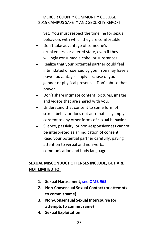yet. You must respect the timeline for sexual behaviors with which they are comfortable.

- Don't take advantage of someone's drunkenness or altered state, even if they willingly consumed alcohol or substances.
- Realize that your potential partner could feel intimidated or coerced by you. You may have a power advantage simply because of your gender or physical presence. Don't abuse that power.
- Don't share intimate content, pictures, images and videos that are shared with you.
- Understand that consent to some form of sexual behavior does not automatically imply consent to any other forms of sexual behavior.
- Silence, passivity, or non-responsiveness cannot be interpreted as an indication of consent. Read your potential partner carefully, paying attention to verbal and non-verbal communication and body language.

# **SEXUAL MISCONDUCT OFFENSES INCLUDE, BUT ARE NOT LIMITED TO:**

- **1. Sexual Harassment, [see OMB 965](https://mlink.mccc.edu/omb/OMB965.pdf)**
- **2. Non-Consensual Sexual Contact (or attempts to commit same)**
- **3. Non-Consensual Sexual Intercourse (or attempts to commit same)**
- **4. Sexual Exploitation**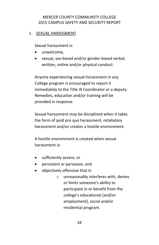### 1. SEXUAL HARASSMENT

Sexual harassment is:

- unwelcome.
- sexual, sex-based and/or gender-based verbal, written, online and/or physical conduct.

Anyone experiencing sexual harassment in any College program is encouraged to report it immediately to the Title IX Coordinator or a deputy. Remedies, education and/or training will be provided in response.

Sexual harassment may be disciplined when it takes the form of quid pro quo harassment, retaliatory harassment and/or creates a hostile environment.

A hostile environment is created when sexual harassment is:

- sufficiently severe, or
- persistent or pervasive, and
- objectively offensive that it:
	- o unreasonably interferes with, denies or limits someone's ability to participate in or benefit from the college's educational [and/or employment], social and/or residential program.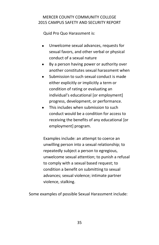Quid Pro Quo Harassment is:

- Unwelcome sexual advances, requests for sexual favors, and other verbal or physical conduct of a sexual nature
- By a person having power or authority over another constitutes sexual harassment when
- Submission to such sexual conduct is made either explicitly or implicitly a term or condition of rating or evaluating an individual's educational [or employment] progress, development, or performance.
- This includes when submission to such conduct would be a condition for access to receiving the benefits of any educational [or employment] program.

Examples include: an attempt to coerce an unwilling person into a sexual relationship; to repeatedly subject a person to egregious, unwelcome sexual attention; to punish a refusal to comply with a sexual based request; to condition a benefit on submitting to sexual advances; sexual violence; intimate partner violence, stalking.

Some examples of possible Sexual Harassment include: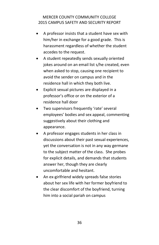- A professor insists that a student have sex with him/her in exchange for a good grade. This is harassment regardless of whether the student accedes to the request.
- A student repeatedly sends sexually oriented jokes around on an email list s/he created, even when asked to stop, causing one recipient to avoid the sender on campus and in the residence hall in which they both live.
- Explicit sexual pictures are displayed in a professor's office or on the exterior of a residence hall door
- Two supervisors frequently 'rate' several employees' bodies and sex appeal, commenting suggestively about their clothing and appearance.
- A professor engages students in her class in discussions about their past sexual experiences, yet the conversation is not in any way germane to the subject matter of the class. She probes for explicit details, and demands that students answer her, though they are clearly uncomfortable and hesitant.
- An ex-girlfriend widely spreads false stories about her sex life with her former boyfriend to the clear discomfort of the boyfriend, turning him into a social pariah on campus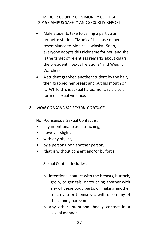- Male students take to calling a particular brunette student "Monica" because of her resemblance to Monica Lewinsky. Soon, everyone adopts this nickname for her, and she is the target of relentless remarks about cigars, the president, "sexual relations" and Weight Watchers.
- A student grabbed another student by the hair, then grabbed her breast and put his mouth on it. While this is sexual harassment, it is also a form of sexual violence.

# *2. NON-CONSENSUAL SEXUAL CONTACT*

Non-Consensual Sexual Contact is:

- any intentional sexual touching,
- however slight,
- with any object,
- **•** by a person upon another person,
- that is without consent and/or by force.

Sexual Contact includes:

- o Intentional contact with the breasts, buttock, groin, or genitals, or touching another with any of these body parts, or making another touch you or themselves with or on any of these body parts; or
- o Any other intentional bodily contact in a sexual manner.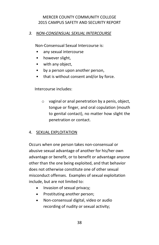#### *3. NON-CONSENSUAL SEXUAL INTERCOURSE*

Non-Consensual Sexual Intercourse is:

- any sexual intercourse
- however slight,
- with any object,
- by a person upon another person,
- that is without consent and/or by force.

Intercourse includes:

o vaginal or anal penetration by a penis, object, tongue or finger, and oral copulation (mouth to genital contact), no matter how slight the penetration or contact.

#### 4. SEXUAL EXPLOITATION

Occurs when one person takes non-consensual or abusive sexual advantage of another for his/her own advantage or benefit, or to benefit or advantage anyone other than the one being exploited, and that behavior does not otherwise constitute one of other sexual misconduct offenses. Examples of sexual exploitation include, but are not limited to:

- Invasion of sexual privacy;
- Prostituting another person;
- Non-consensual digital, video or audio recording of nudity or sexual activity;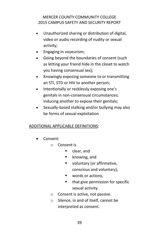- Unauthorized sharing or distribution of digital, video or audio recording of nudity or sexual activity;
- Engaging in voyeurism;
- Going beyond the boundaries of consent (such as letting your friend hide in the closet to watch you having consensual sex);
- Knowingly exposing someone to or transmitting an STI, STD or HIV to another person;
- Intentionally or recklessly exposing one's genitals in non-consensual circumstances; inducing another to expose their genitals;
- Sexually-based stalking and/or bullying may also be forms of sexual exploitation

#### ADDITIONAL APPLICABLE DEFINITIONS:

- Consent:
	- o Consent is
		- clear, and
		- **EXECUTE:** knowing, and
		- voluntary [or affirmative, conscious and voluntary],
		- **words or actions,**
		- **that give permission for specific** sexual activity.
	- o Consent is active, not passive.
	- o Silence, in and of itself, cannot be interpreted as consent.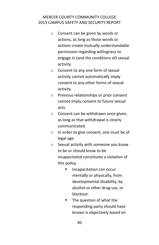- o Consent can be given by words or actions, as long as those words or actions create mutually understandable permission regarding willingness to engage in (and the conditions of) sexual activity.
- o Consent to any one form of sexual activity cannot automatically imply consent to any other forms of sexual activity.
- o Previous relationships or prior consent cannot imply consent to future sexual acts.
- o Consent can be withdrawn once given, as long as that withdrawal is clearly communicated.
- o In order to give consent, one must be of legal age.
- o Sexual activity with someone you know to be or should know to be incapacitated constitutes a violation of this policy.
	- **Incapacitation can occur** mentally or physically, from developmental disability, by alcohol or other drug use, or blackout.
	- **The question of what the** responding party should have known is objectively based on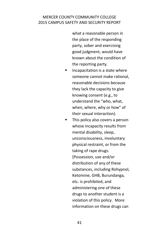what a reasonable person in the place of the responding party, sober and exercising good judgment, would have known about the condition of the reporting party.

- **Incapacitation is a state where** someone cannot make rational, reasonable decisions because they lack the capacity to give knowing consent (e.g., to understand the "who, what, when, where, why or how" of their sexual interaction).
- **This policy also covers a person** whose incapacity results from mental disability, sleep, unconsciousness, involuntary physical restraint, or from the taking of rape drugs. [Possession, use and/or distribution of any of these substances, including Rohypnol, Ketomine, GHB, Burundanga, etc. is prohibited, and administering one of these drugs to another student is a violation of this policy. More information on these drugs can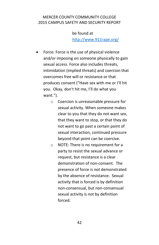be found at <http://www.911rape.org/>

- Force: Force is the use of physical violence and/or imposing on someone physically to gain sexual access. Force also includes threats, intimidation (implied threats) and coercion that overcomes free will or resistance or that produces consent ("Have sex with me or I'll hit you. Okay, don't hit me, I'll do what you want.").
	- o Coercion is unreasonable pressure for sexual activity. When someone makes clear to you that they do not want sex, that they want to stop, or that they do not want to go past a certain point of sexual interaction, continued pressure beyond that point can be coercive.
	- o NOTE: There is no requirement for a party to resist the sexual advance or request, but resistance is a clear demonstration of non-consent. The presence of force is not demonstrated by the absence of resistance. Sexual activity that is forced is by definition non-consensual, but non-consensual sexual activity is not by definition forced.

42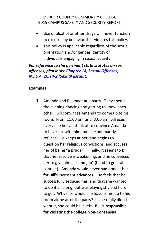- Use of alcohol or other drugs will never function to excuse any behavior that violates this policy.
- This policy is applicable regardless of the sexual orientation and/or gender identity of individuals engaging in sexual activity.

*For reference to the pertinent state statutes on sex offenses, please see [Chapter 14, Sexual Offenses,](http://www.womenslaw.org/statutes_detail.php?statute_id=5999)  [N.J.S.A. 2C:14-2 \(Sexual assault\)](http://www.womenslaw.org/statutes_detail.php?statute_id=5999)*

#### **Examples**

1. Amanda and Bill meet at a party. They spend the evening dancing and getting to know each other. Bill convinces Amanda to come up to his room. From 11:00 pm until 3:00 am, Bill uses every line he can think of to convince Amanda to have sex with him, but she adamantly refuses. He keeps at her, and begins to question her religious convictions, and accuses her of being "a prude." Finally, it seems to Bill that her resolve is weakening, and he convinces her to give him a "hand job" (hand to genital contact). Amanda would never had done it but for Bill's incessant advances. He feels that he successfully seduced her, and that she wanted to do it all along, but was playing shy and hard to get. Why else would she have come up to his room alone after the party? If she really didn't want it, she could have left. **Bill is responsible for violating the college Non-Consensual**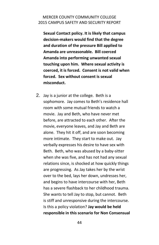**Sexual Contact policy. It is likely that campus decision-makers would find that the degree and duration of the pressure Bill applied to Amanda are unreasonable. Bill coerced Amanda into performing unwanted sexual touching upon him. Where sexual activity is coerced, it is forced. Consent is not valid when forced. Sex without consent is sexual misconduct.**

2. Jay is a junior at the college. Beth is a sophomore. Jay comes to Beth's residence hall room with some mutual friends to watch a movie. Jay and Beth, who have never met before, are attracted to each other. After the movie, everyone leaves, and Jay and Beth are alone. They hit it off, and are soon becoming more intimate. They start to make out. Jay verbally expresses his desire to have sex with Beth. Beth, who was abused by a baby-sitter when she was five, and has not had any sexual relations since, is shocked at how quickly things are progressing. As Jay takes her by the wrist over to the bed, lays her down, undresses her, and begins to have intercourse with her, Beth has a severe flashback to her childhood trauma. She wants to tell Jay to stop, but cannot. Beth is stiff and unresponsive during the intercourse. Is this a policy violation? **Jay would be held responsible in this scenario for Non Consensual**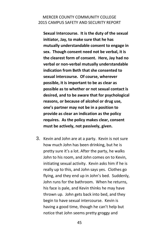**Sexual Intercourse. It is the duty of the sexual initiator, Jay, to make sure that he has mutually understandable consent to engage in sex. Though consent need not be verbal, it is the clearest form of consent. Here, Jay had no verbal or non-verbal mutually understandable indication from Beth that she consented to sexual intercourse. Of course, wherever possible, it is important to be as clear as possible as to whether or not sexual contact is desired, and to be aware that for psychological reasons, or because of alcohol or drug use, one's partner may not be in a position to provide as clear an indication as the policy requires. As the policy makes clear, consent must be actively, not passively, given.**

3. Kevin and John are at a party. Kevin is not sure how much John has been drinking, but he is pretty sure it's a lot. After the party, he walks John to his room, and John comes on to Kevin, initiating sexual activity. Kevin asks him if he is really up to this, and John says yes. Clothes go flying, and they end up in John's bed. Suddenly, John runs for the bathroom. When he returns, his face is pale, and Kevin thinks he may have thrown up. John gets back into bed, and they begin to have sexual intercourse. Kevin is having a good time, though he can't help but notice that John seems pretty groggy and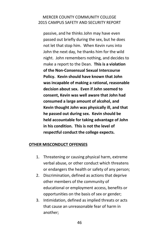passive, and he thinks John may have even passed out briefly during the sex, but he does not let that stop him. When Kevin runs into John the next day, he thanks him for the wild night. John remembers nothing, and decides to make a report to the Dean. **This is a violation of the Non-Consensual Sexual Intercourse Policy. Kevin should have known that John was incapable of making a rational, reasonable decision about sex. Even if John seemed to consent, Kevin was well aware that John had consumed a large amount of alcohol, and Kevin thought John was physically ill, and that he passed out during sex. Kevin should be held accountable for taking advantage of John in his condition. This is not the level of respectful conduct the college expects.**

## **OTHER MISCONDUCT OFFENSES**

- 1. Threatening or causing physical harm, extreme verbal abuse, or other conduct which threatens or endangers the health or safety of any person;
- 2. Discrimination, defined as actions that deprive other members of the community of educational or employment access, benefits or opportunities on the basis of sex or gender;
- 3. Intimidation, defined as implied threats or acts that cause an unreasonable fear of harm in another;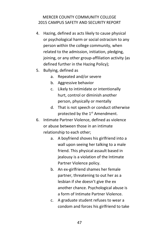- 4. Hazing, defined as acts likely to cause physical or psychological harm or social ostracism to any person within the college community, when related to the admission, initiation, pledging, joining, or any other group-affiliation activity (as defined further in the Hazing Policy);
- 5. Bullying, defined as
	- a. Repeated and/or severe
	- b. Aggressive behavior
	- c. Likely to intimidate or intentionally hurt, control or diminish another person, physically or mentally
	- d. That is not speech or conduct otherwise protected by the 1<sup>st</sup> Amendment.
- 6. Intimate Partner Violence, defined as violence or abuse between those in an intimate relationship to each other;
	- a. A boyfriend shoves his girlfriend into a wall upon seeing her talking to a male friend. This physical assault based in jealousy is a violation of the Intimate Partner Violence policy.
	- b. An ex-girlfriend shames her female partner, threatening to out her as a lesbian if she doesn't give the ex another chance. Psychological abuse is a form of Intimate Partner Violence.
	- c. A graduate student refuses to wear a condom and forces his girlfriend to take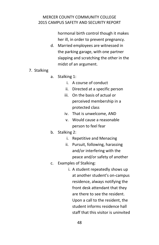hormonal birth control though it makes her ill, in order to prevent pregnancy.

- d. Married employees are witnessed in the parking garage, with one partner slapping and scratching the other in the midst of an argument.
- 7. Stalking
	- a. Stalking 1:
		- i. A course of conduct
		- ii. Directed at a specific person
		- iii. On the basis of actual or perceived membership in a protected class
		- iv. That is unwelcome, AND
		- v. Would cause a reasonable person to feel fear
	- b. Stalking 2:
		- i. Repetitive and Menacing
		- ii. Pursuit, following, harassing and/or interfering with the peace and/or safety of another
	- c. Examples of Stalking:
		- i. A student repeatedly shows up at another student's on-campus residence, always notifying the front desk attendant that they are there to see the resident. Upon a call to the resident, the student informs residence hall staff that this visitor is uninvited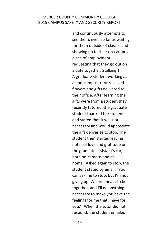and continuously attempts to see them, even so far as waiting for them outside of classes and showing up to their on-campus place of employment requesting that they go out on a date together. Stalking 1.

ii. A graduate student working as an on-campus tutor received flowers and gifts delivered to their office. After learning the gifts were from a student they recently tutored, the graduate student thanked the student and stated that it was not necessary and would appreciate the gift deliveries to stop. The student then started leaving notes of love and gratitude on the graduate assistant's car, both on-campus and at home. Asked again to stop, the student stated by email: "You can ask me to stop, but I'm not giving up. We are meant to be together, and I'll do anything necessary to make you have the feelings for me that I have for you." When the tutor did not respond, the student emailed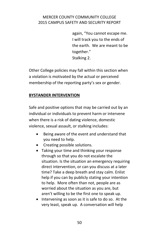again, "You cannot escape me. I will track you to the ends of the earth. We are meant to be together." Stalking 2.

Other College policies may fall within this section when a violation is motivated by the actual or perceived membership of the reporting party's sex or gender.

#### **BYSTANDER INTERVENTION**

Safe and positive options that may be carried out by an individual or individuals to prevent harm or intervene when there is a risk of dating violence, domestic violence, sexual assault, or stalking includes:

- Being aware of the event and understand that you need to help.
- Creating possible solutions.
- Taking your time and thinking your response through so that you do not escalate the situation. Is the situation an emergency requiring direct intervention, or can you discuss at a later time? Take a deep breath and stay calm. Enlist help if you can by publicly stating your intention to help. More often than not, people are as worried about the situation as you are, but aren't willing to be the first one to speak up.
- Intervening as soon as it is safe to do so. At the very least, speak up. A conversation will help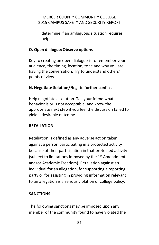determine if an ambiguous situation requires help.

# **O. Open dialogue/Observe options**

Key to creating an open dialogue is to remember your audience, the timing, location, tone and why you are having the conversation. Try to understand others' points of view.

# **N. Negotiate Solution/Negate further conflict**

Help negotiate a solution. Tell your friend what behavior is or is not acceptable, and know the appropriate next step if you feel the discussion failed to yield a desirable outcome.

## **RETALIATION**

Retaliation is defined as any adverse action taken against a person participating in a protected activity because of their participation in that protected activity (subject to limitations imposed by the 1<sup>st</sup> Amendment and/or Academic Freedom). Retaliation against an individual for an allegation, for supporting a reporting party or for assisting in providing information relevant to an allegation is a serious violation of college policy.

## **SANCTIONS**

The following sanctions may be imposed upon any member of the community found to have violated the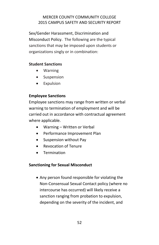Sex/Gender Harassment, Discrimination and Misconduct Policy. The following are the typical sanctions that may be imposed upon students or organizations singly or in combination:

# **Student Sanctions**

- Warning
- Suspension
- Expulsion

# **Employee Sanctions**

Employee sanctions may range from written or verbal warning to termination of employment and will be carried out in accordance with contractual agreement where applicable.

- Warning Written or Verbal
- Performance Improvement Plan
- Suspension without Pay
- Revocation of Tenure
- **•** Termination

## **Sanctioning for Sexual Misconduct**

 Any person found responsible for violating the Non-Consensual Sexual Contact policy (where no intercourse has occurred) will likely receive a sanction ranging from probation to expulsion, depending on the severity of the incident, and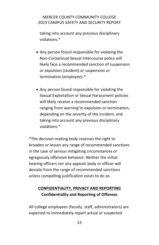taking into account any previous disciplinary violations.\*

- Any person found responsible for violating the Non-Consensual Sexual Intercourse policy will likely face a recommended sanction of suspension or expulsion (student) or suspension or termination (employee).\*
- Any person found responsible for violating the Sexual Exploitation or Sexual Harassment policies will likely receive a recommended sanction ranging from warning to expulsion or termination, depending on the severity of the incident, and taking into account any previous disciplinary violations.\*

\*The decision-making body reserves the right to broaden or lessen any range of recommended sanctions in the case of serious mitigating circumstances or egregiously offensive behavior. Neither the initial hearing officers nor any appeals body or officer will deviate from the range of recommended sanctions unless compelling justification exists to do so.

# **CONFIDENTIALITY, PRIVACY AND REPORTING Confidentiality and Reporting of Offenses**

All college employees (faculty, staff, administrators) are expected to immediately report actual or suspected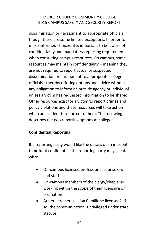discrimination or harassment to appropriate officials, though there are some limited exceptions. In order to make informed choices, it is important to be aware of confidentiality and mandatory reporting requirements when consulting campus resources. On campus, some resources may maintain confidentiality – meaning they are not required to report actual or suspected discrimination or harassment to appropriate college officials - thereby offering options and advice without any obligation to inform an outside agency or individual unless a victim has requested information to be shared. Other resources exist for a victim to report crimes and policy violations and these resources will take action when an incident is reported to them. The following describes the two reporting options at college:

## **Confidential Reporting**

If a reporting party would like the details of an incident to be kept confidential, the reporting party may speak with:

- On-campus licensed professional counselors and staff
- On-campus members of the clergy/chaplains working within the scope of their licensure or ordination
- Athletic trainers (Is Lisa Camillone licensed? If so, the communication is privileged under state statute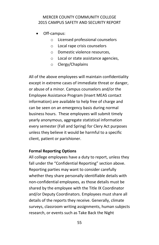- Off-campus:
	- o Licensed professional counselors
	- o Local rape crisis counselors
	- o Domestic violence resources,
	- o Local or state assistance agencies,
	- o Clergy/Chaplains

All of the above employees will maintain confidentiality except in extreme cases of immediate threat or danger, or abuse of a minor. Campus counselors and/or the Employee Assistance Program (Insert MEAS contact information) are available to help free of charge and can be seen on an emergency basis during normal business hours. These employees will submit timely yearly anonymous, aggregate statistical information every semester (Fall and Spring) for Clery Act purposes unless they believe it would be harmful to a specific client, patient or parishioner.

#### **Formal Reporting Options**

All college employees have a duty to report, unless they fall under the "Confidential Reporting" section above. Reporting parties may want to consider carefully whether they share personally identifiable details with non-confidential employees, as those details must be shared by the employee with the Title IX Coordinator and/or Deputy Coordinators. Employees must share all details of the reports they receive. Generally, climate surveys, classroom writing assignments, human subjects research, or events such as Take Back the Night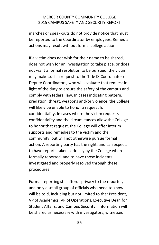marches or speak-outs do not provide notice that must be reported to the Coordinator by employees. Remedial actions may result without formal college action.

If a victim does not wish for their name to be shared, does not wish for an investigation to take place, or does not want a formal resolution to be pursued, the victim may make such a request to the Title IX Coordinator or Deputy Coordinators, who will evaluate that request in light of the duty to ensure the safety of the campus and comply with federal law. In cases indicating pattern, predation, threat, weapons and/or violence, the College will likely be unable to honor a request for confidentiality. In cases where the victim requests confidentiality and the circumstances allow the College to honor that request, the College will offer interim supports and remedies to the victim and the community, but will not otherwise pursue formal action. A reporting party has the right, and can expect, to have reports taken seriously by the College when formally reported, and to have those incidents investigated and properly resolved through these procedures.

Formal reporting still affords privacy to the reporter, and only a small group of officials who need to know will be told, including but not limited to the: President, VP of Academics, VP of Operations, Executive Dean for Student Affairs, and Campus Security. Information will be shared as necessary with investigators, witnesses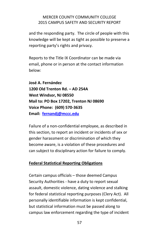and the responding party. The circle of people with this knowledge will be kept as tight as possible to preserve a reporting party's rights and privacy.

Reports to the Title IX Coordinator can be made via email, phone or in person at the contact information below:

**José A. Fernández 1200 Old Trenton Rd. – AD 254A West Windsor, NJ 08550 Mail to: PO Box 17202, Trenton NJ 08690 Voice Phone: (609) 570-3635 Email: [fernandj@mccc.edu](mailto:fernandj@mccc.edu)**

Failure of a non-confidential employee, as described in this section, to report an incident or incidents of sex or gender harassment or discrimination of which they become aware, is a violation of these procedures and can subject to disciplinary action for failure to comply.

# **Federal Statistical Reporting Obligations**

Certain campus officials – those deemed Campus Security Authorities - have a duty to report sexual assault, domestic violence, dating violence and stalking for federal statistical reporting purposes (Clery Act). All personally identifiable information is kept confidential, but statistical information must be passed along to campus law enforcement regarding the type of incident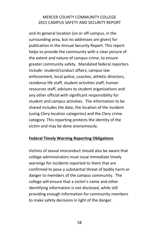and its general location (on or off-campus, in the surrounding area, but no addresses are given) for publication in the Annual Security Report. This report helps to provide the community with a clear picture of the extent and nature of campus crime, to ensure greater community safety. Mandated federal reporters include: student/conduct affairs, campus law enforcement, local police, coaches, athletic directors, residence life staff, student activities staff, human resources staff, advisors to student organizations and any other official with significant responsibility for student and campus activities. The information to be shared includes the date, the location of the incident (using Clery location categories) and the Clery crime category. This reporting protects the identity of the victim and may be done anonymously.

#### **Federal Timely Warning Reporting Obligations**

Victims of sexual misconduct should also be aware that college administrators must issue immediate timely warnings for incidents reported to them that are confirmed to pose a substantial threat of bodily harm or danger to members of the campus community. The college will ensure that a victim's name and other identifying information is not disclosed, while still providing enough information for community members to make safety decisions in light of the danger.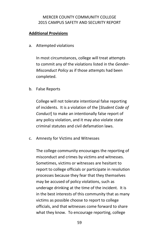#### **Additional Provisions**

a. Attempted violations

In most circumstances, college will treat attempts to commit any of the violations listed in the *Gender-Misconduct Policy* as if those attempts had been completed.

b. False Reports

College will not tolerate intentional false reporting of incidents. It is a violation of the [*Student Code of Conduct*] to make an intentionally false report of any policy violation, and it may also violate state criminal statutes and civil defamation laws.

c. Amnesty for Victims and Witnesses

The college community encourages the reporting of misconduct and crimes by victims and witnesses. Sometimes, victims or witnesses are hesitant to report to college officials or participate in resolution processes because they fear that they themselves may be accused of policy violations, such as underage drinking at the time of the incident. It is in the best interests of this community that as many victims as possible choose to report to college officials, and that witnesses come forward to share what they know. To encourage reporting, college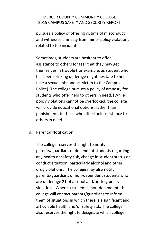pursues a policy of offering victims of misconduct and witnesses amnesty from minor policy violations related to the incident.

Sometimes, students are hesitant to offer assistance to others for fear that they may get themselves in trouble (for example, as student who has been drinking underage might hesitate to help take a sexual misconduct victim to the Campus Police). The college pursues a policy of amnesty for students who offer help to others in need. [While policy violations cannot be overlooked, the college will provide educational options, rather than punishment, to those who offer their assistance to others in need.

#### d. Parental Notification

The college reserves the right to notify parents/guardians of dependent students regarding any health or safety risk, change in student status or conduct situation, particularly alcohol and other drug violations. The college may also notify parents/guardians of non-dependent students who are under age 21 of alcohol and/or drug policy violations. Where a student is non-dependent, the college will contact parents/guardians to inform them of situations in which there is a significant and articulable health and/or safety risk. The college also reserves the right to designate which college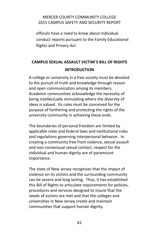officials have a need to know about individual conduct reports pursuant to the Family Educational Rights and Privacy Act.

# **CAMPUS SEXUAL ASSAULT VICTIM`S BILL OF RIGHTS INTRODUCTION**

A college or university in a free society must be devoted to the pursuit of truth and knowledge through reason and open communication among its members. Academic communities acknowledge the necessity of being intellectually stimulating where the diversity of ideas is valued. Its rules must be conceived for the purpose of furthering and protecting the rights of the university community in achieving these ends.

The boundaries of personal freedom are limited by applicable state and federal laws and institutional rules and regulations governing interpersonal behavior. In creating a community free from violence, sexual assault and non-consensual sexual contact, respect for the individual and human dignity are of paramount importance.

The state of New Jersey recognizes that the impact of violence on its victims and the surrounding community can be severe and long lasting. Thus, it has established this Bill of Rights to articulate requirements for policies, procedures and services designed to insure that the needs of victims are met and that the colleges and universities in New Jersey create and maintain communities that support human dignity.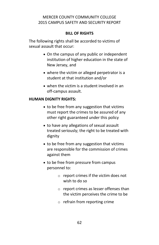#### **BILL OF RIGHTS**

The following rights shall be accorded to victims of sexual assault that occur:

- On the campus of any public or independent institution of higher education in the state of New Jersey, and
- where the victim or alleged perpetrator is a student at that institution and/or
- when the victim is a student involved in an off-campus assault.

#### **HUMAN DIGNITY RIGHTS:**

- to be free from any suggestion that victims must report the crimes to be assured of any other right guaranteed under this policy
- to have any allegations of sexual assault treated seriously; the right to be treated with dignity
- to be free from any suggestion that victims are responsible for the commission of crimes against them
- to be free from pressure from campus personnel to:
	- o report crimes if the victim does not wish to do so
	- o report crimes as lesser offenses than the victim perceives the crime to be
	- $\circ$  refrain from reporting crime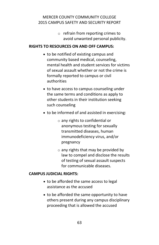o refrain from reporting crimes to avoid unwanted personal publicity.

#### **RIGHTS TO RESOURCES ON AND OFF CAMPUS:**

- to be notified of existing campus and community based medical, counseling, mental health and student services for victims of sexual assault whether or not the crime is formally reported to campus or civil authorities
- to have access to campus counseling under the same terms and conditions as apply to other students in their institution seeking such counseling
- to be informed of and assisted in exercising:
	- o any rights to confidential or anonymous testing for sexually transmitted diseases, human immunodeficiency virus, and/or pregnancy
	- $\circ$  any rights that may be provided by law to compel and disclose the results of testing of sexual assault suspects for communicable diseases.

#### **CAMPUS JUDICIAL RIGHTS:**

- to be afforded the same access to legal assistance as the accused
- to be afforded the same opportunity to have others present during any campus disciplinary proceeding that is allowed the accused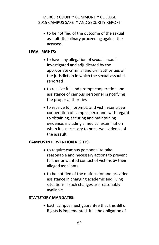to be notified of the outcome of the sexual assault disciplinary proceeding against the accused.

#### **LEGAL RIGHTS:**

- to have any allegation of sexual assault investigated and adjudicated by the appropriate criminal and civil authorities of the jurisdiction in which the sexual assault is reported
- to receive full and prompt cooperation and assistance of campus personnel in notifying the proper authorities
- to receive full, prompt, and victim-sensitive cooperation of campus personnel with regard to obtaining, securing and maintaining evidence, including a medical examination when it is necessary to preserve evidence of the assault.

#### **CAMPUS INTERVENTION RIGHTS:**

- to require campus personnel to take reasonable and necessary actions to prevent further unwanted contact of victims by their alleged assailants
- to be notified of the options for and provided assistance in changing academic and living situations if such changes are reasonably available.

#### **STATUTORY MANDATES:**

• Each campus must guarantee that this Bill of Rights is implemented. It is the obligation of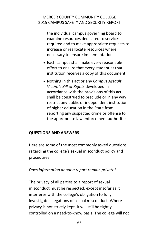the individual campus governing board to examine resources dedicated to services required and to make appropriate requests to increase or reallocate resources where necessary to ensure implementation

- Each campus shall make every reasonable effort to ensure that every student at that institution receives a copy of this document
- Nothing in this act or any *Campus Assault Victim`s Bill of Rights* developed in accordance with the provisions of this act, shall be construed to preclude or in any way restrict any public or independent institution of higher education in the State from reporting any suspected crime or offense to the appropriate law enforcement authorities.

#### **QUESTIONS AND ANSWERS**

Here are some of the most commonly asked questions regarding the college's sexual misconduct policy and procedures.

*Does information about a report remain private?*

The privacy of all parties to a report of sexual misconduct must be respected, except insofar as it interferes with the college's obligation to fully investigate allegations of sexual misconduct. Where privacy is not strictly kept, it will still be tightly controlled on a need-to-know basis. The college will not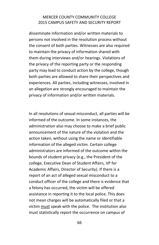disseminate information and/or written materials to persons not involved in the resolution process without the consent of both parties. Witnesses are also required to maintain the privacy of information shared with them during interviews and/or hearings. Violations of the privacy of the reporting party or the responding party may lead to conduct action by the college, though both parties are allowed to share their perspectives and experiences. All parties, including witnesses, involved in an allegation are strongly encouraged to maintain the privacy of information and/or written materials.

In all resolutions of sexual misconduct, all parties will be informed of the outcome. In some instances, the administration also may choose to make a brief public announcement of the nature of the violation and the action taken, without using the name or identifiable information of the alleged victim. Certain college administrators are informed of the outcome within the bounds of student privacy (e.g., the President of the college, Executive Dean of Student Affairs, VP for Academic Affairs, Director of Security). If there is a report of an act of alleged sexual misconduct to a conduct officer of the college and there is evidence that a felony has occurred, the victim will be offered assistance in reporting it to the local police. This does not mean charges will be automatically filed or that a victim must speak with the police. The institution also must statistically report the occurrence on campus of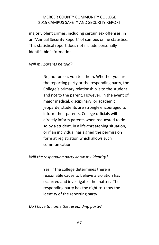major violent crimes, including certain sex offenses, in an "Annual Security Report" of campus crime statistics. This statistical report does not include personally identifiable information.

#### *Will my parents be told?*

No, not unless you tell them. Whether you are the reporting party or the responding party, the College's primary relationship is to the student and not to the parent. However, in the event of major medical, disciplinary, or academic jeopardy, students are strongly encouraged to inform their parents. College officials will directly inform parents when requested to do so by a student, in a life-threatening situation, or if an individual has signed the permission form at registration which allows such communication.

#### *Will the responding party know my identity?*

Yes, if the college determines there is reasonable cause to believe a violation has occurred and investigates the matter. The responding party has the right to know the identity of the reporting party.

*Do I have to name the responding party?*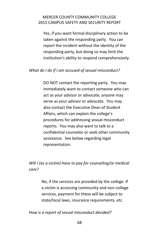Yes, if you want formal disciplinary action to be taken against the responding party. You can report the incident without the identity of the responding party, but doing so may limit the institution's ability to respond comprehensively.

#### *What do I do if I am accused of sexual misconduct?*

DO NOT contact the reporting party. You may immediately want to contact someone who can act as your advisor or advocate; anyone may serve as your advisor or advocate. You may also contact the Executive Dean of Student Affairs, which can explain the college's procedures for addressing sexual misconduct reports. You may also want to talk to a confidential counselor or seek other community assistance. See below regarding legal representation.

*Will I (as a victim) have to pay for counseling/or medical care?*

> No, if the services are provided by the college. If a victim is accessing community and non-college services, payment for these will be subject to state/local laws, insurance requirements, etc.

*How is a report of sexual misconduct decided?*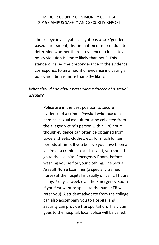The college investigates allegations of sex/gender based harassment, discrimination or misconduct to determine whether there is evidence to indicate a policy violation is "more likely than not." This standard, called the preponderance of the evidence, corresponds to an amount of evidence indicating a policy violation is more than 50% likely.

# *What should I do about preserving evidence of a sexual assault?*

Police are in the best position to secure evidence of a crime. Physical evidence of a criminal sexual assault must be collected from the alleged victim's person within 120 hours, though evidence can often be obtained from towels, sheets, clothes, etc. for much longer periods of time. If you believe you have been a victim of a criminal sexual assault, you should go to the Hospital Emergency Room, before washing yourself or your clothing. The Sexual Assault Nurse Examiner (a specially trained nurse) at the hospital is usually on call 24 hours a day, 7 days a week (call the Emergency Room if you first want to speak to the nurse; ER will refer you). A student advocate from the college can also accompany you to Hospital and Security can provide transportation. If a victim goes to the hospital, local police will be called,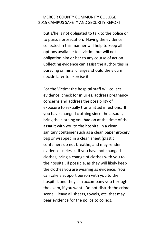but s/he is not obligated to talk to the police or to pursue prosecution. Having the evidence collected in this manner will help to keep all options available to a victim, but will not obligation him or her to any course of action. Collecting evidence can assist the authorities in pursuing criminal charges, should the victim decide later to exercise it.

For the Victim: the hospital staff will collect evidence, check for injuries, address pregnancy concerns and address the possibility of exposure to sexually transmitted infections. If you have changed clothing since the assault, bring the clothing you had on at the time of the assault with you to the hospital in a clean, sanitary container such as a clean paper grocery bag or wrapped in a clean sheet (plastic containers do not breathe, and may render evidence useless). If you have not changed clothes, bring a change of clothes with you to the hospital, if possible, as they will likely keep the clothes you are wearing as evidence. You can take a support person with you to the hospital, and they can accompany you through the exam, if you want. Do not disturb the crime scene—leave all sheets, towels, etc. that may bear evidence for the police to collect.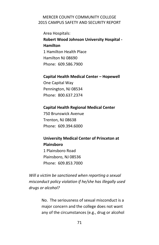Area Hospitals: **Robert Wood Johnson University Hospital - Hamilton** 1 Hamilton Health Place Hamilton NJ 08690 Phone: 609.586.7900

#### **Capital Health Medical Center – Hopewell**

One Capital Way Pennington, NJ 08534 Phone: 800.637.2374

#### **Capital Health Regional Medical Center**

750 Brunswick Avenue Trenton, NJ 08638 Phone: 609.394.6000

# **University Medical Center of Princeton at Plainsboro**

1 Plainsboro Road Plainsboro, NJ 08536 Phone: 609.853.7000

*Will a victim be sanctioned when reporting a sexual misconduct policy violation if he/she has illegally used drugs or alcohol?*

> No. The seriousness of sexual misconduct is a major concern and the college does not want any of the circumstances (e.g., drug or alcohol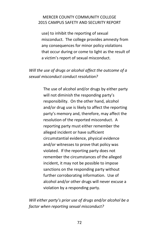use) to inhibit the reporting of sexual misconduct. The college provides amnesty from any consequences for minor policy violations that occur during or come to light as the result of a victim's report of sexual misconduct.

# *Will the use of drugs or alcohol affect the outcome of a sexual misconduct conduct resolution?*

The use of alcohol and/or drugs by either party will not diminish the responding party's responsibility. On the other hand, alcohol and/or drug use is likely to affect the reporting party's memory and, therefore, may affect the resolution of the reported misconduct. A reporting party must either remember the alleged incident or have sufficient circumstantial evidence, physical evidence and/or witnesses to prove that policy was violated. If the reporting party does not remember the circumstances of the alleged incident, it may not be possible to impose sanctions on the responding party without further corroborating information. Use of alcohol and/or other drugs will never excuse a violation by a responding party.

*Will either party's prior use of drugs and/or alcohol be a factor when reporting sexual misconduct?*